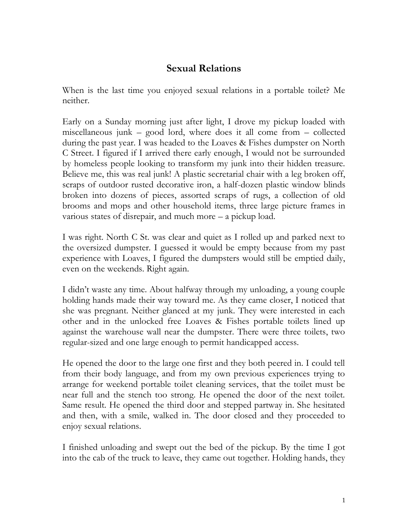## **Sexual Relations**

When is the last time you enjoyed sexual relations in a portable toilet? Me neither.

Early on a Sunday morning just after light, I drove my pickup loaded with miscellaneous junk – good lord, where does it all come from – collected during the past year. I was headed to the Loaves & Fishes dumpster on North C Street. I figured if I arrived there early enough, I would not be surrounded by homeless people looking to transform my junk into their hidden treasure. Believe me, this was real junk! A plastic secretarial chair with a leg broken off, scraps of outdoor rusted decorative iron, a half-dozen plastic window blinds broken into dozens of pieces, assorted scraps of rugs, a collection of old brooms and mops and other household items, three large picture frames in various states of disrepair, and much more – a pickup load.

I was right. North C St. was clear and quiet as I rolled up and parked next to the oversized dumpster. I guessed it would be empty because from my past experience with Loaves, I figured the dumpsters would still be emptied daily, even on the weekends. Right again.

I didn't waste any time. About halfway through my unloading, a young couple holding hands made their way toward me. As they came closer, I noticed that she was pregnant. Neither glanced at my junk. They were interested in each other and in the unlocked free Loaves & Fishes portable toilets lined up against the warehouse wall near the dumpster. There were three toilets, two regular-sized and one large enough to permit handicapped access.

He opened the door to the large one first and they both peered in. I could tell from their body language, and from my own previous experiences trying to arrange for weekend portable toilet cleaning services, that the toilet must be near full and the stench too strong. He opened the door of the next toilet. Same result. He opened the third door and stepped partway in. She hesitated and then, with a smile, walked in. The door closed and they proceeded to enjoy sexual relations.

I finished unloading and swept out the bed of the pickup. By the time I got into the cab of the truck to leave, they came out together. Holding hands, they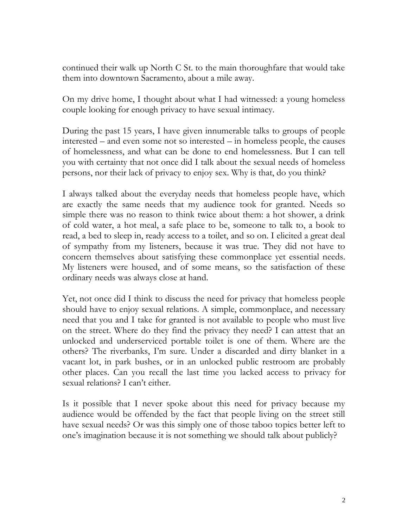continued their walk up North C St. to the main thoroughfare that would take them into downtown Sacramento, about a mile away.

On my drive home, I thought about what I had witnessed: a young homeless couple looking for enough privacy to have sexual intimacy.

During the past 15 years, I have given innumerable talks to groups of people interested – and even some not so interested – in homeless people, the causes of homelessness, and what can be done to end homelessness. But I can tell you with certainty that not once did I talk about the sexual needs of homeless persons, nor their lack of privacy to enjoy sex. Why is that, do you think?

I always talked about the everyday needs that homeless people have, which are exactly the same needs that my audience took for granted. Needs so simple there was no reason to think twice about them: a hot shower, a drink of cold water, a hot meal, a safe place to be, someone to talk to, a book to read, a bed to sleep in, ready access to a toilet, and so on. I elicited a great deal of sympathy from my listeners, because it was true. They did not have to concern themselves about satisfying these commonplace yet essential needs. My listeners were housed, and of some means, so the satisfaction of these ordinary needs was always close at hand.

Yet, not once did I think to discuss the need for privacy that homeless people should have to enjoy sexual relations. A simple, commonplace, and necessary need that you and I take for granted is not available to people who must live on the street. Where do they find the privacy they need? I can attest that an unlocked and underserviced portable toilet is one of them. Where are the others? The riverbanks, I'm sure. Under a discarded and dirty blanket in a vacant lot, in park bushes, or in an unlocked public restroom are probably other places. Can you recall the last time you lacked access to privacy for sexual relations? I can't either.

Is it possible that I never spoke about this need for privacy because my audience would be offended by the fact that people living on the street still have sexual needs? Or was this simply one of those taboo topics better left to one's imagination because it is not something we should talk about publicly?